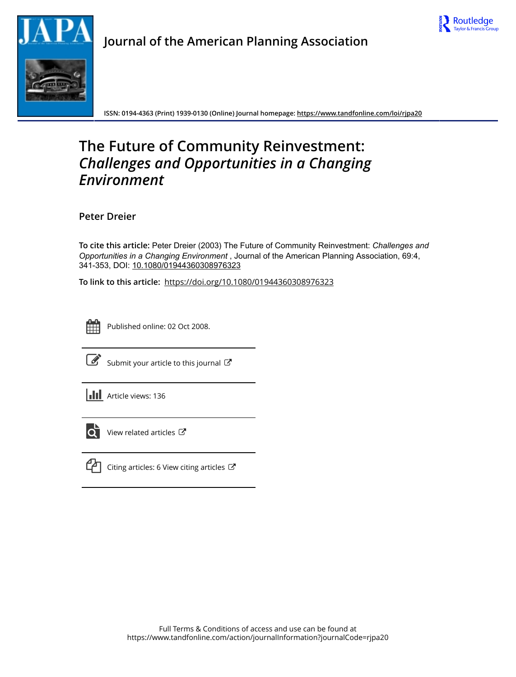



**Journal of the American Planning Association**

**ISSN: 0194-4363 (Print) 1939-0130 (Online) Journal homepage:<https://www.tandfonline.com/loi/rjpa20>**

# **The Future of Community Reinvestment:** *Challenges and Opportunities in a Changing Environment*

**Peter Dreier**

**To cite this article:** Peter Dreier (2003) The Future of Community Reinvestment: *Challengesand Opportunities in a Changing Environment*, Journal of the American Planning Association, 69:4, 341-353, DOI: [10.1080/01944360308976323](https://www.tandfonline.com/action/showCitFormats?doi=10.1080/01944360308976323)

**To link to this article:** <https://doi.org/10.1080/01944360308976323>



Published online: 02 Oct 2008.



 $\overrightarrow{S}$  [Submit your article to this journal](https://www.tandfonline.com/action/authorSubmission?journalCode=rjpa20&show=instructions)  $\overrightarrow{S}$ 





 $\overline{\mathbf{C}}$  [View related articles](https://www.tandfonline.com/doi/mlt/10.1080/01944360308976323)  $\mathbf{C}$ 



 $\Box$  [Citing articles: 6 View citing articles](https://www.tandfonline.com/doi/citedby/10.1080/01944360308976323#tabModule)  $\Box$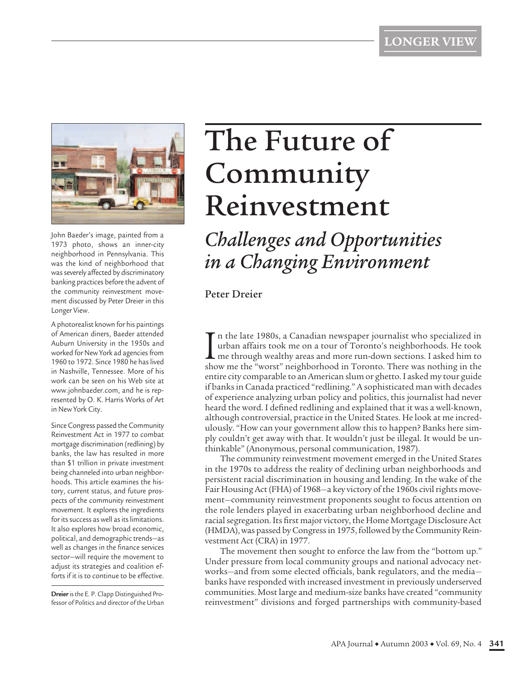

John Baeder's image, painted from a 1973 photo, shows an inner-city neighborhood in Pennsylvania. This was the kind of neighborhood that was severely affected by discriminatory banking practices before the advent of the community reinvestment movement discussed by Peter Dreier in this Longer View.

A photorealist known for his paintings of American diners, Baeder attended Auburn University in the 1950s and worked for New York ad agencies from 1960 to 1972. Since 1980 he has lived in Nashville, Tennessee. More of his work can be seen on his Web site at www.johnbaeder.com, and he is represented by O. K. Harris Works of Art in New York City.

Since Congress passed the Community Reinvestment Act in 1977 to combat mortgage discrimination (redlining) by banks, the law has resulted in more than \$1 trillion in private investment being channeled into urban neighborhoods. This article examines the history, current status, and future prospects of the community reinvestment movement. It explores the ingredients for its success as well as its limitations. It also explores how broad economic, political, and demographic trends—as well as changes in the finance services sector—will require the movement to adjust its strategies and coalition efforts if it is to continue to be effective.

**Dreier**is the E. P. Clapp Distinguished Professor of Politics and director of the Urban

# The Future of Community Reinvestment

*Challenges and Opportunities in a Changing Environment*

Peter Dreier

In the late 1980s, a Canadian newspaper journalist who specialized in<br>urban affairs took me on a tour of Toronto's neighborhoods. He took<br>me through wealthy areas and more run-down sections. I asked him to<br>show me the "wor n the late 1980s, a Canadian newspaper journalist who specialized in urban affairs took me on a tour of Toronto's neighborhoods. He took me through wealthy areas and more run-down sections. I asked him to entire city comparable to an American slum or ghetto. I asked my tour guide if banks in Canada practiced "redlining." A sophisticated man with decades of experience analyzing urban policy and politics, this journalist had never heard the word. I defined redlining and explained that it was a well-known, although controversial, practice in the United States. He look at me incredulously. "How can your government allow this to happen? Banks here simply couldn't get away with that. It wouldn't just be illegal. It would be unthinkable" (Anonymous, personal communication, 1987).

The community reinvestment movement emerged in the United States in the 1970s to address the reality of declining urban neighborhoods and persistent racial discrimination in housing and lending. In the wake of the Fair Housing Act (FHA) of 1968—a key victory of the 1960s civil rights movement—community reinvestment proponents sought to focus attention on the role lenders played in exacerbating urban neighborhood decline and racial segregation. Its first major victory, the Home Mortgage Disclosure Act (HMDA), was passed by Congress in 1975, followed by the Community Reinvestment Act (CRA) in 1977.

The movement then sought to enforce the law from the "bottom up." Under pressure from local community groups and national advocacy networks—and from some elected officials, bank regulators, and the media banks have responded with increased investment in previously underserved communities. Most large and medium-size banks have created "community reinvestment" divisions and forged partnerships with community-based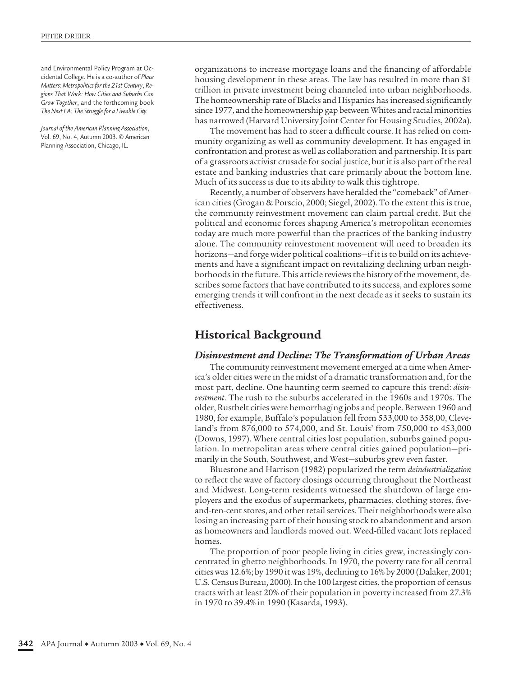and Environmental Policy Program at Occidental College. He is a co-author of *Place Matters: Metropolitics for the 21st Century*, *Regions That Work: How Cities and Suburbs Can Grow Together*, and the forthcoming book *The Next LA: The Struggle for a Liveable City.*

*Journal of the American Planning Association*, Vol. 69, No. 4, Autumn 2003. © American Planning Association, Chicago, IL.

organizations to increase mortgage loans and the financing of affordable housing development in these areas. The law has resulted in more than \$1 trillion in private investment being channeled into urban neighborhoods. The homeownership rate of Blacks and Hispanics has increased significantly since 1977, and the homeownership gap between Whites and racial minorities has narrowed (Harvard University Joint Center for Housing Studies, 2002a).

The movement has had to steer a difficult course. It has relied on community organizing as well as community development. It has engaged in confrontation and protest as well as collaboration and partnership. It is part of a grassroots activist crusade for social justice, but it is also part of the real estate and banking industries that care primarily about the bottom line. Much of its success is due to its ability to walk this tightrope.

Recently, a number of observers have heralded the "comeback" of American cities (Grogan & Porscio, 2000; Siegel, 2002). To the extent this is true, the community reinvestment movement can claim partial credit. But the political and economic forces shaping America's metropolitan economies today are much more powerful than the practices of the banking industry alone. The community reinvestment movement will need to broaden its horizons—and forge wider political coalitions—if it is to build on its achievements and have a significant impact on revitalizing declining urban neighborhoods in the future. This article reviews the history of the movement, describes some factors that have contributed to its success, and explores some emerging trends it will confront in the next decade as it seeks to sustain its effectiveness.

# **Historical Background**

#### *Disinvestment and Decline: The Transformation of Urban Areas*

The community reinvestment movement emerged at a time when America's older cities were in the midst of a dramatic transformation and, for the most part, decline. One haunting term seemed to capture this trend: *disinvestment*. The rush to the suburbs accelerated in the 1960s and 1970s. The older, Rustbelt cities were hemorrhaging jobs and people. Between 1960 and 1980, for example, Buffalo's population fell from 533,000 to 358,00, Cleveland's from 876,000 to 574,000, and St. Louis' from 750,000 to 453,000 (Downs, 1997). Where central cities lost population, suburbs gained population. In metropolitan areas where central cities gained population—primarily in the South, Southwest, and West—suburbs grew even faster.

Bluestone and Harrison (1982) popularized the term *deindustrialization* to reflect the wave of factory closings occurring throughout the Northeast and Midwest. Long-term residents witnessed the shutdown of large employers and the exodus of supermarkets, pharmacies, clothing stores, fiveand-ten-cent stores, and other retail services. Their neighborhoods were also losing an increasing part of their housing stock to abandonment and arson as homeowners and landlords moved out. Weed-filled vacant lots replaced homes.

The proportion of poor people living in cities grew, increasingly concentrated in ghetto neighborhoods. In 1970, the poverty rate for all central cities was 12.6%; by 1990 it was 19%, declining to 16% by 2000 (Dalaker, 2001; U.S. Census Bureau, 2000). In the 100 largest cities, the proportion of census tracts with at least 20% of their population in poverty increased from 27.3% in 1970 to 39.4% in 1990 (Kasarda, 1993).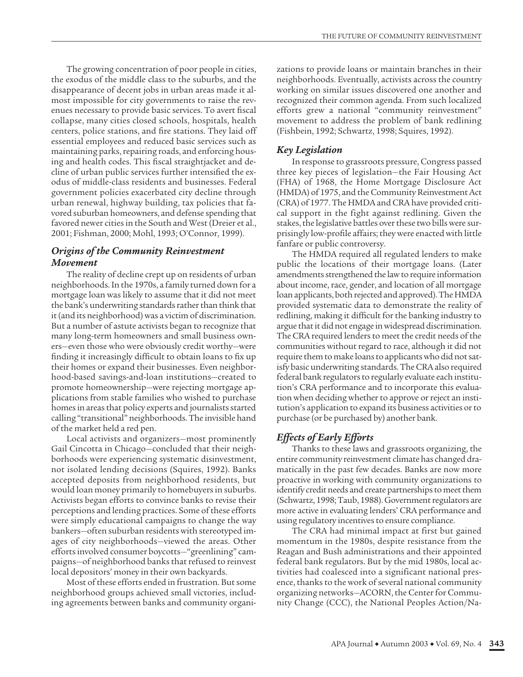The growing concentration of poor people in cities, the exodus of the middle class to the suburbs, and the disappearance of decent jobs in urban areas made it almost impossible for city governments to raise the revenues necessary to provide basic services. To avert fiscal collapse, many cities closed schools, hospitals, health centers, police stations, and fire stations. They laid off essential employees and reduced basic services such as maintaining parks, repairing roads, and enforcing housing and health codes. This fiscal straightjacket and decline of urban public services further intensified the exodus of middle-class residents and businesses. Federal government policies exacerbated city decline through urban renewal, highway building, tax policies that favored suburban homeowners, and defense spending that favored newer cities in the South and West (Dreier et al., 2001; Fishman, 2000; Mohl, 1993; O'Connor, 1999).

#### *Origins of the Community Reinvestment Movement*

The reality of decline crept up on residents of urban neighborhoods. In the 1970s, a family turned down for a mortgage loan was likely to assume that it did not meet the bank's underwriting standards rather than think that it (and its neighborhood) was a victim of discrimination. But a number of astute activists began to recognize that many long-term homeowners and small business owners—even those who were obviously credit worthy—were finding it increasingly difficult to obtain loans to fix up their homes or expand their businesses. Even neighborhood-based savings-and-loan institutions—created to promote homeownership—were rejecting mortgage applications from stable families who wished to purchase homes in areas that policy experts and journalists started calling "transitional" neighborhoods. The invisible hand of the market held a red pen.

Local activists and organizers—most prominently Gail Cincotta in Chicago—concluded that their neighborhoods were experiencing systematic disinvestment, not isolated lending decisions (Squires, 1992). Banks accepted deposits from neighborhood residents, but would loan money primarily to homebuyers in suburbs. Activists began efforts to convince banks to revise their perceptions and lending practices. Some of these efforts were simply educational campaigns to change the way bankers—often suburban residents with stereotyped images of city neighborhoods—viewed the areas. Other efforts involved consumer boycotts—"greenlining" campaigns—of neighborhood banks that refused to reinvest local depositors' money in their own backyards.

Most of these efforts ended in frustration. But some neighborhood groups achieved small victories, including agreements between banks and community organizations to provide loans or maintain branches in their neighborhoods. Eventually, activists across the country working on similar issues discovered one another and recognized their common agenda. From such localized efforts grew a national "community reinvestment" movement to address the problem of bank redlining (Fishbein, 1992; Schwartz, 1998; Squires, 1992).

#### *Key Legislation*

In response to grassroots pressure, Congress passed three key pieces of legislation—the Fair Housing Act (FHA) of 1968, the Home Mortgage Disclosure Act (HMDA) of 1975, and the Community Reinvestment Act (CRA) of 1977. The HMDA and CRA have provided critical support in the fight against redlining. Given the stakes, the legislative battles over these two bills were surprisingly low-profile affairs; they were enacted with little fanfare or public controversy.

The HMDA required all regulated lenders to make public the locations of their mortgage loans. (Later amendments strengthened the law to require information about income, race, gender, and location of all mortgage loan applicants, both rejected and approved). The HMDA provided systematic data to demonstrate the reality of redlining, making it difficult for the banking industry to argue that it did not engage in widespread discrimination. The CRA required lenders to meet the credit needs of the communities without regard to race, although it did not require them to make loans to applicants who did not satisfy basic underwriting standards. The CRA also required federal bank regulators to regularly evaluate each institution's CRA performance and to incorporate this evaluation when deciding whether to approve or reject an institution's application to expand its business activities or to purchase (or be purchased by) another bank.

### *Effects of Early Efforts*

Thanks to these laws and grassroots organizing, the entire community reinvestment climate has changed dramatically in the past few decades. Banks are now more proactive in working with community organizations to identify credit needs and create partnerships to meet them (Schwartz, 1998; Taub, 1988). Government regulators are more active in evaluating lenders' CRA performance and using regulatory incentives to ensure compliance.

The CRA had minimal impact at first but gained momentum in the 1980s, despite resistance from the Reagan and Bush administrations and their appointed federal bank regulators. But by the mid 1980s, local activities had coalesced into a significant national presence, thanks to the work of several national community organizing networks—ACORN, the Center for Community Change (CCC), the National Peoples Action/Na-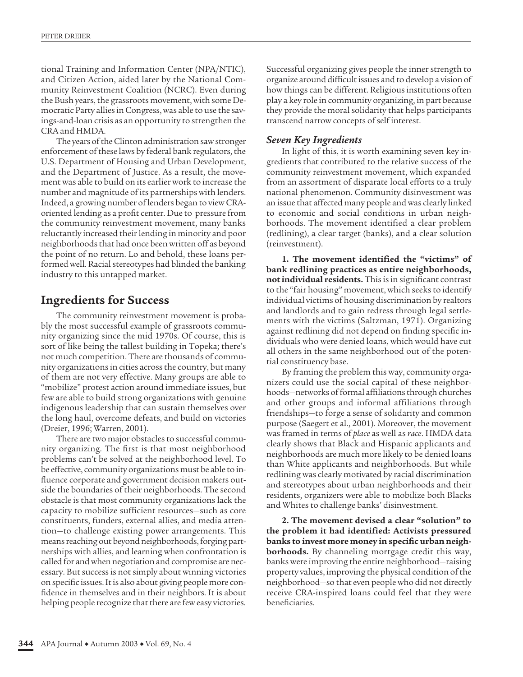tional Training and Information Center (NPA/NTIC), and Citizen Action, aided later by the National Community Reinvestment Coalition (NCRC). Even during the Bush years, the grassroots movement, with some Democratic Party allies in Congress, was able to use the savings-and-loan crisis as an opportunity to strengthen the CRA and HMDA.

The years of the Clinton administration saw stronger enforcement of these laws by federal bank regulators, the U.S. Department of Housing and Urban Development, and the Department of Justice. As a result, the movement was able to build on its earlier work to increase the number and magnitude of its partnerships with lenders. Indeed, a growing number of lenders began to view CRAoriented lending as a profit center. Due to pressure from the community reinvestment movement, many banks reluctantly increased their lending in minority and poor neighborhoods that had once been written off as beyond the point of no return. Lo and behold, these loans performed well. Racial stereotypes had blinded the banking industry to this untapped market.

# **Ingredients for Success**

The community reinvestment movement is probably the most successful example of grassroots community organizing since the mid 1970s. Of course, this is sort of like being the tallest building in Topeka; there's not much competition. There are thousands of community organizations in cities across the country, but many of them are not very effective. Many groups are able to "mobilize" protest action around immediate issues, but few are able to build strong organizations with genuine indigenous leadership that can sustain themselves over the long haul, overcome defeats, and build on victories (Dreier, 1996; Warren, 2001).

There are two major obstacles to successful community organizing. The first is that most neighborhood problems can't be solved at the neighborhood level. To be effective, community organizations must be able to influence corporate and government decision makers outside the boundaries of their neighborhoods. The second obstacle is that most community organizations lack the capacity to mobilize sufficient resources—such as core constituents, funders, external allies, and media attention—to challenge existing power arrangements. This means reaching out beyond neighborhoods, forging partnerships with allies, and learning when confrontation is called for and when negotiation and compromise are necessary. But success is not simply about winning victories on specific issues. It is also about giving people more confidence in themselves and in their neighbors. It is about helping people recognize that there are few easy victories.

Successful organizing gives people the inner strength to organize around difficult issues and to develop a vision of how things can be different. Religious institutions often play a key role in community organizing, in part because they provide the moral solidarity that helps participants transcend narrow concepts of self interest.

## *Seven Key Ingredients*

In light of this, it is worth examining seven key ingredients that contributed to the relative success of the community reinvestment movement, which expanded from an assortment of disparate local efforts to a truly national phenomenon. Community disinvestment was an issue that affected many people and was clearly linked to economic and social conditions in urban neighborhoods. The movement identified a clear problem (redlining), a clear target (banks), and a clear solution (reinvestment).

**1. The movement identified the "victims" of bank redlining practices as entire neighborhoods, not individual residents.** This is in significant contrast to the "fair housing" movement, which seeks to identify individual victims of housing discrimination by realtors and landlords and to gain redress through legal settlements with the victims (Saltzman, 1971). Organizing against redlining did not depend on finding specific individuals who were denied loans, which would have cut all others in the same neighborhood out of the potential constituency base.

By framing the problem this way, community organizers could use the social capital of these neighborhoods—networks of formal affiliations through churches and other groups and informal affiliations through friendships—to forge a sense of solidarity and common purpose (Saegert et al., 2001). Moreover, the movement was framed in terms of *place* as well as *race*. HMDA data clearly shows that Black and Hispanic applicants and neighborhoods are much more likely to be denied loans than White applicants and neighborhoods. But while redlining was clearly motivated by racial discrimination and stereotypes about urban neighborhoods and their residents, organizers were able to mobilize both Blacks and Whites to challenge banks' disinvestment.

**2. The movement devised a clear "solution" to the problem it had identified: Activists pressured banks to invest more money in specific urban neighborhoods.** By channeling mortgage credit this way, banks were improving the entire neighborhood—raising property values, improving the physical condition of the neighborhood—so that even people who did not directly receive CRA-inspired loans could feel that they were beneficiaries.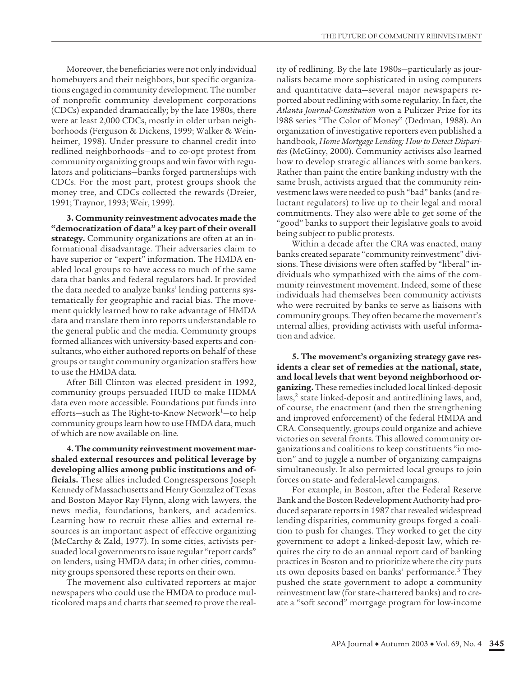Moreover, the beneficiaries were not only individual homebuyers and their neighbors, but specific organizations engaged in community development. The number of nonprofit community development corporations (CDCs) expanded dramatically; by the late 1980s, there were at least 2,000 CDCs, mostly in older urban neighborhoods (Ferguson & Dickens, 1999; Walker & Weinheimer, 1998). Under pressure to channel credit into redlined neighborhoods—and to co-opt protest from community organizing groups and win favor with regulators and politicians—banks forged partnerships with CDCs. For the most part, protest groups shook the money tree, and CDCs collected the rewards (Dreier, 1991; Traynor, 1993; Weir, 1999).

**3. Community reinvestment advocates made the "democratization of data" a key part of their overall strategy.** Community organizations are often at an informational disadvantage. Their adversaries claim to have superior or "expert" information. The HMDA enabled local groups to have access to much of the same data that banks and federal regulators had. It provided the data needed to analyze banks' lending patterns systematically for geographic and racial bias. The movement quickly learned how to take advantage of HMDA data and translate them into reports understandable to the general public and the media. Community groups formed alliances with university-based experts and consultants, who either authored reports on behalf of these groups or taught community organization staffers how to use the HMDA data.

After Bill Clinton was elected president in 1992, community groups persuaded HUD to make HDMA data even more accessible. Foundations put funds into efforts—such as The Right-to-Know Network $<sup>1</sup>$ —to help</sup> community groups learn how to use HMDA data, much of which are now available on-line.

**4. The community reinvestment movement marshaled external resources and political leverage by developing allies among public institutions and officials.** These allies included Congresspersons Joseph Kennedy of Massachusetts and Henry Gonzalez of Texas and Boston Mayor Ray Flynn, along with lawyers, the news media, foundations, bankers, and academics. Learning how to recruit these allies and external resources is an important aspect of effective organizing (McCarthy & Zald, 1977). In some cities, activists persuaded local governments to issue regular "report cards" on lenders, using HMDA data; in other cities, community groups sponsored these reports on their own.

The movement also cultivated reporters at major newspapers who could use the HMDA to produce multicolored maps and charts that seemed to prove the reality of redlining. By the late 1980s—particularly as journalists became more sophisticated in using computers and quantitative data—several major newspapers reported about redlining with some regularity. In fact, the *Atlanta Journal-Constitution* won a Pulitzer Prize for its l988 series "The Color of Money" (Dedman, 1988). An organization of investigative reporters even published a handbook, *Home Mortgage Lending: How to Detect Disparities* (McGinty, 2000). Community activists also learned how to develop strategic alliances with some bankers. Rather than paint the entire banking industry with the same brush, activists argued that the community reinvestment laws were needed to push "bad" banks (and reluctant regulators) to live up to their legal and moral commitments. They also were able to get some of the "good" banks to support their legislative goals to avoid being subject to public protests.

Within a decade after the CRA was enacted, many banks created separate "community reinvestment" divisions. These divisions were often staffed by "liberal" individuals who sympathized with the aims of the community reinvestment movement. Indeed, some of these individuals had themselves been community activists who were recruited by banks to serve as liaisons with community groups. They often became the movement's internal allies, providing activists with useful information and advice.

**5. The movement's organizing strategy gave residents a clear set of remedies at the national, state, and local levels that went beyond neighborhood organizing.** These remedies included local linked-deposit laws,<sup>2</sup> state linked-deposit and antiredlining laws, and, of course, the enactment (and then the strengthening and improved enforcement) of the federal HMDA and CRA. Consequently, groups could organize and achieve victories on several fronts. This allowed community organizations and coalitions to keep constituents "in motion" and to juggle a number of organizing campaigns simultaneously. It also permitted local groups to join forces on state- and federal-level campaigns.

For example, in Boston, after the Federal Reserve Bank and the Boston Redevelopment Authority had produced separate reports in 1987 that revealed widespread lending disparities, community groups forged a coalition to push for changes. They worked to get the city government to adopt a linked-deposit law, which requires the city to do an annual report card of banking practices in Boston and to prioritize where the city puts its own deposits based on banks' performance.<sup>3</sup> They pushed the state government to adopt a community reinvestment law (for state-chartered banks) and to create a "soft second" mortgage program for low-income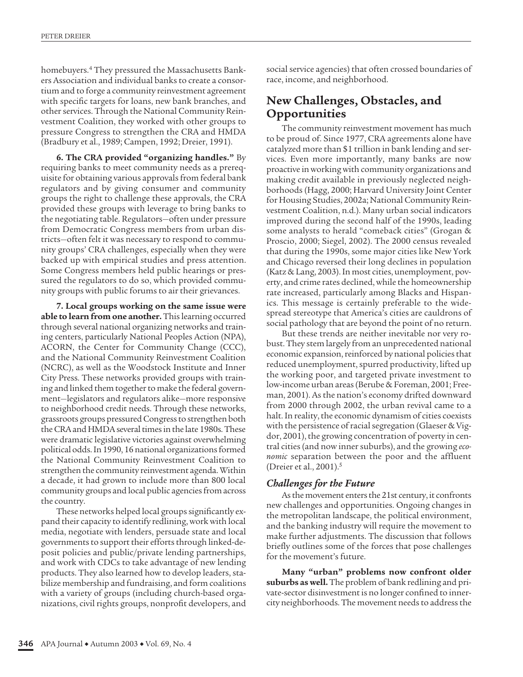homebuyers.<sup>4</sup> They pressured the Massachusetts Bankers Association and individual banks to create a consortium and to forge a community reinvestment agreement with specific targets for loans, new bank branches, and other services. Through the National Community Reinvestment Coalition, they worked with other groups to pressure Congress to strengthen the CRA and HMDA (Bradbury et al., 1989; Campen, 1992; Dreier, 1991).

**6. The CRA provided "organizing handles."** By requiring banks to meet community needs as a prerequisite for obtaining various approvals from federal bank regulators and by giving consumer and community groups the right to challenge these approvals, the CRA provided these groups with leverage to bring banks to the negotiating table. Regulators—often under pressure from Democratic Congress members from urban districts—often felt it was necessary to respond to community groups' CRA challenges, especially when they were backed up with empirical studies and press attention. Some Congress members held public hearings or pressured the regulators to do so, which provided community groups with public forums to air their grievances.

**7. Local groups working on the same issue were able to learn from one another.** This learning occurred through several national organizing networks and training centers, particularly National Peoples Action (NPA), ACORN, the Center for Community Change (CCC), and the National Community Reinvestment Coalition (NCRC), as well as the Woodstock Institute and Inner City Press. These networks provided groups with training and linked them together to make the federal government—legislators and regulators alike—more responsive to neighborhood credit needs. Through these networks, grassroots groups pressured Congress to strengthen both the CRA and HMDA several times in the late 1980s. These were dramatic legislative victories against overwhelming political odds. In 1990, 16 national organizations formed the National Community Reinvestment Coalition to strengthen the community reinvestment agenda. Within a decade, it had grown to include more than 800 local community groups and local public agencies from across the country.

These networks helped local groups significantly expand their capacity to identify redlining, work with local media, negotiate with lenders, persuade state and local governments to support their efforts through linked-deposit policies and public/private lending partnerships, and work with CDCs to take advantage of new lending products. They also learned how to develop leaders, stabilize membership and fundraising, and form coalitions with a variety of groups (including church-based organizations, civil rights groups, nonprofit developers, and

social service agencies) that often crossed boundaries of race, income, and neighborhood.

# **New Challenges, Obstacles, and Opportunities**

The community reinvestment movement has much to be proud of. Since 1977, CRA agreements alone have catalyzed more than \$1 trillion in bank lending and services. Even more importantly, many banks are now proactive in working with community organizations and making credit available in previously neglected neighborhoods (Hagg, 2000; Harvard University Joint Center for Housing Studies, 2002a; National Community Reinvestment Coalition, n.d.). Many urban social indicators improved during the second half of the 1990s, leading some analysts to herald "comeback cities" (Grogan & Proscio, 2000; Siegel, 2002). The 2000 census revealed that during the 1990s, some major cities like New York and Chicago reversed their long declines in population (Katz & Lang, 2003). In most cities, unemployment, poverty, and crime rates declined, while the homeownership rate increased, particularly among Blacks and Hispanics. This message is certainly preferable to the widespread stereotype that America's cities are cauldrons of social pathology that are beyond the point of no return.

But these trends are neither inevitable nor very robust. They stem largely from an unprecedented national economic expansion, reinforced by national policies that reduced unemployment, spurred productivity, lifted up the working poor, and targeted private investment to low-income urban areas (Berube & Foreman, 2001; Freeman, 2001). As the nation's economy drifted downward from 2000 through 2002, the urban revival came to a halt. In reality, the economic dynamism of cities coexists with the persistence of racial segregation (Glaeser & Vigdor, 2001), the growing concentration of poverty in central cities (and now inner suburbs), and the growing *economic* separation between the poor and the affluent (Dreier et al., 2001).5

### *Challenges for the Future*

As the movement enters the 21st century, it confronts new challenges and opportunities. Ongoing changes in the metropolitan landscape, the political environment, and the banking industry will require the movement to make further adjustments. The discussion that follows briefly outlines some of the forces that pose challenges for the movement's future.

**Many "urban" problems now confront older suburbs as well.** The problem of bank redlining and private-sector disinvestment is no longer confined to innercity neighborhoods. The movement needs to address the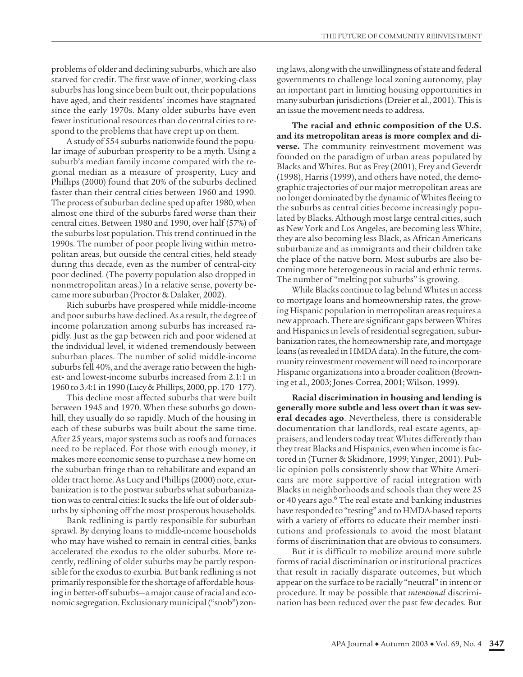problems of older and declining suburbs, which are also starved for credit. The first wave of inner, working-class suburbs has long since been built out, their populations have aged, and their residents' incomes have stagnated since the early 1970s. Many older suburbs have even fewer institutional resources than do central cities to respond to the problems that have crept up on them.

A study of 554 suburbs nationwide found the popular image of suburban prosperity to be a myth. Using a suburb's median family income compared with the regional median as a measure of prosperity, Lucy and Phillips (2000) found that 20% of the suburbs declined faster than their central cities between 1960 and 1990. The process of suburban decline sped up after 1980, when almost one third of the suburbs fared worse than their central cities. Between 1980 and 1990, over half (57%) of the suburbs lost population. This trend continued in the 1990s. The number of poor people living within metropolitan areas, but outside the central cities, held steady during this decade, even as the number of central-city poor declined. (The poverty population also dropped in nonmetropolitan areas.) In a relative sense, poverty became more suburban (Proctor & Dalaker, 2002).

Rich suburbs have prospered while middle-income and poor suburbs have declined. As a result, the degree of income polarization among suburbs has increased rapidly. Just as the gap between rich and poor widened at the individual level, it widened tremendously between suburban places. The number of solid middle-income suburbs fell 40%, and the average ratio between the highest- and lowest-income suburbs increased from 2.1:1 in 1960 to 3.4:1 in 1990 (Lucy & Phillips, 2000, pp. 170–177).

This decline most affected suburbs that were built between 1945 and 1970. When these suburbs go downhill, they usually do so rapidly. Much of the housing in each of these suburbs was built about the same time. After 25 years, major systems such as roofs and furnaces need to be replaced. For those with enough money, it makes more economic sense to purchase a new home on the suburban fringe than to rehabilitate and expand an older tract home. As Lucy and Phillips (2000) note, exurbanization is to the postwar suburbs what suburbanization was to central cities: It sucks the life out of older suburbs by siphoning off the most prosperous households.

Bank redlining is partly responsible for suburban sprawl. By denying loans to middle-income households who may have wished to remain in central cities, banks accelerated the exodus to the older suburbs. More recently, redlining of older suburbs may be partly responsible for the exodus to exurbia. But bank redlining is not primarily responsible for the shortage of affordable housing in better-off suburbs—a major cause of racial and economic segregation. Exclusionary municipal ("snob") zoning laws, along with the unwillingness of state and federal governments to challenge local zoning autonomy, play an important part in limiting housing opportunities in many suburban jurisdictions (Dreier et al., 2001). This is an issue the movement needs to address.

**The racial and ethnic composition of the U.S. and its metropolitan areas is more complex and diverse.** The community reinvestment movement was founded on the paradigm of urban areas populated by Blacks and Whites. But as Frey (2001), Frey and Geverdt (1998), Harris (1999), and others have noted, the demographic trajectories of our major metropolitan areas are no longer dominated by the dynamic of Whites fleeing to the suburbs as central cities become increasingly populated by Blacks. Although most large central cities, such as New York and Los Angeles, are becoming less White, they are also becoming less Black, as African Americans suburbanize and as immigrants and their children take the place of the native born. Most suburbs are also becoming more heterogeneous in racial and ethnic terms. The number of "melting pot suburbs" is growing.

While Blacks continue to lag behind Whites in access to mortgage loans and homeownership rates, the growing Hispanic population in metropolitan areas requires a new approach. There are significant gaps between Whites and Hispanics in levels of residential segregation, suburbanization rates, the homeownership rate, and mortgage loans (as revealed in HMDA data). In the future, the community reinvestment movement will need to incorporate Hispanic organizations into a broader coalition (Browning et al., 2003; Jones-Correa, 2001; Wilson, 1999).

**Racial discrimination in housing and lending is generally more subtle and less overt than it was several decades ago**. Nevertheless, there is considerable documentation that landlords, real estate agents, appraisers, and lenders today treat Whites differently than they treat Blacks and Hispanics, even when income is factored in (Turner & Skidmore, 1999; Yinger, 2001). Public opinion polls consistently show that White Americans are more supportive of racial integration with Blacks in neighborhoods and schools than they were 25 or 40 years ago.<sup>6</sup> The real estate and banking industries have responded to "testing" and to HMDA-based reports with a variety of efforts to educate their member institutions and professionals to avoid the most blatant forms of discrimination that are obvious to consumers.

But it is difficult to mobilize around more subtle forms of racial discrimination or institutional practices that result in racially disparate outcomes, but which appear on the surface to be racially "neutral" in intent or procedure. It may be possible that *intentional* discrimination has been reduced over the past few decades. But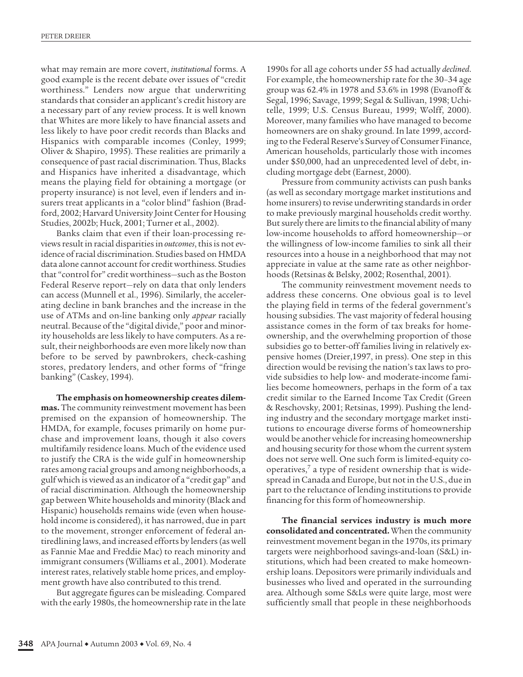what may remain are more covert, *institutional* forms. A good example is the recent debate over issues of "credit worthiness." Lenders now argue that underwriting standards that consider an applicant's credit history are a necessary part of any review process. It is well known that Whites are more likely to have financial assets and less likely to have poor credit records than Blacks and Hispanics with comparable incomes (Conley, 1999; Oliver & Shapiro, 1995). These realities are primarily a consequence of past racial discrimination. Thus, Blacks and Hispanics have inherited a disadvantage, which means the playing field for obtaining a mortgage (or property insurance) is not level, even if lenders and insurers treat applicants in a "color blind" fashion (Bradford, 2002; Harvard University Joint Center for Housing Studies, 2002b; Huck, 2001; Turner et al., 2002).

Banks claim that even if their loan-processing reviews result in racial disparities in *outcomes*, this is not evidence of racial discrimination. Studies based on HMDA data alone cannot account for credit worthiness. Studies that "control for" credit worthiness—such as the Boston Federal Reserve report—rely on data that only lenders can access (Munnell et al., 1996). Similarly, the accelerating decline in bank branches and the increase in the use of ATMs and on-line banking only *appear* racially neutral. Because of the "digital divide," poor and minority households are less likely to have computers. As a result, their neighborhoods are even more likely now than before to be served by pawnbrokers, check-cashing stores, predatory lenders, and other forms of "fringe banking" (Caskey, 1994).

**The emphasis on homeownership creates dilemmas.** The community reinvestment movement has been premised on the expansion of homeownership. The HMDA, for example, focuses primarily on home purchase and improvement loans, though it also covers multifamily residence loans. Much of the evidence used to justify the CRA is the wide gulf in homeownership rates among racial groups and among neighborhoods, a gulf which is viewed as an indicator of a "credit gap" and of racial discrimination. Although the homeownership gap between White households and minority (Black and Hispanic) households remains wide (even when household income is considered), it has narrowed, due in part to the movement, stronger enforcement of federal antiredlining laws, and increased efforts by lenders (as well as Fannie Mae and Freddie Mac) to reach minority and immigrant consumers (Williams et al., 2001). Moderate interest rates, relatively stable home prices, and employment growth have also contributed to this trend.

But aggregate figures can be misleading. Compared with the early 1980s, the homeownership rate in the late

1990s for all age cohorts under 55 had actually *declined*. For example, the homeownership rate for the 30–34 age group was 62.4% in 1978 and 53.6% in 1998 (Evanoff & Segal, 1996; Savage, 1999; Segal & Sullivan, 1998; Uchitelle, 1999; U.S. Census Bureau, 1999; Wolff, 2000). Moreover, many families who have managed to become homeowners are on shaky ground. In late 1999, according to the Federal Reserve's Survey of Consumer Finance, American households, particularly those with incomes under \$50,000, had an unprecedented level of debt, including mortgage debt (Earnest, 2000).

Pressure from community activists can push banks (as well as secondary mortgage market institutions and home insurers) to revise underwriting standards in order to make previously marginal households credit worthy. But surely there are limits to the financial ability of many low-income households to afford homeownership—or the willingness of low-income families to sink all their resources into a house in a neighborhood that may not appreciate in value at the same rate as other neighborhoods (Retsinas & Belsky, 2002; Rosenthal, 2001).

The community reinvestment movement needs to address these concerns. One obvious goal is to level the playing field in terms of the federal government's housing subsidies. The vast majority of federal housing assistance comes in the form of tax breaks for homeownership, and the overwhelming proportion of those subsidies go to better-off families living in relatively expensive homes (Dreier,1997, in press). One step in this direction would be revising the nation's tax laws to provide subsidies to help low- and moderate-income families become homeowners, perhaps in the form of a tax credit similar to the Earned Income Tax Credit (Green & Reschovsky, 2001; Retsinas, 1999). Pushing the lending industry and the secondary mortgage market institutions to encourage diverse forms of homeownership would be another vehicle for increasing homeownership and housing security for those whom the current system does not serve well. One such form is limited-equity cooperatives,7 a type of resident ownership that is widespread in Canada and Europe, but not in the U.S., due in part to the reluctance of lending institutions to provide financing for this form of homeownership.

**The financial services industry is much more consolidated and concentrated.** When the community reinvestment movement began in the 1970s, its primary targets were neighborhood savings-and-loan (S&L) institutions, which had been created to make homeownership loans. Depositors were primarily individuals and businesses who lived and operated in the surrounding area. Although some S&Ls were quite large, most were sufficiently small that people in these neighborhoods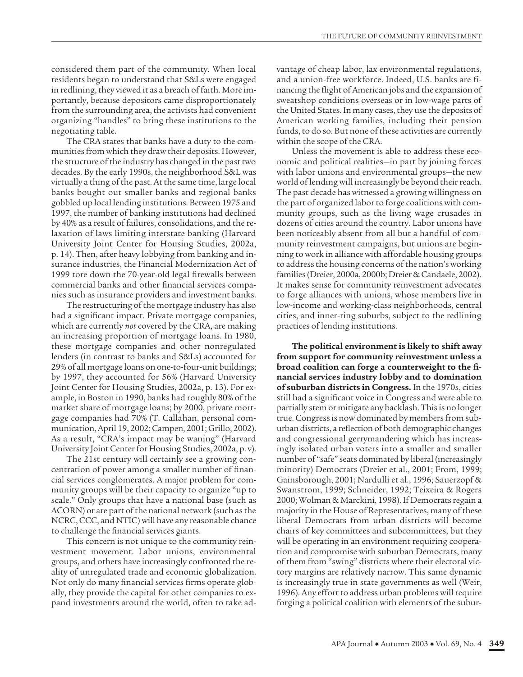considered them part of the community. When local residents began to understand that S&Ls were engaged in redlining, they viewed it as a breach of faith. More importantly, because depositors came disproportionately from the surrounding area, the activists had convenient organizing "handles" to bring these institutions to the negotiating table.

The CRA states that banks have a duty to the communities from which they draw their deposits. However, the structure of the industry has changed in the past two decades. By the early 1990s, the neighborhood S&L was virtually a thing of the past. At the same time, large local banks bought out smaller banks and regional banks gobbled up local lending institutions. Between 1975 and 1997, the number of banking institutions had declined by 40% as a result of failures, consolidations, and the relaxation of laws limiting interstate banking (Harvard University Joint Center for Housing Studies, 2002a, p. 14). Then, after heavy lobbying from banking and insurance industries, the Financial Modernization Act of 1999 tore down the 70-year-old legal firewalls between commercial banks and other financial services companies such as insurance providers and investment banks.

The restructuring of the mortgage industry has also had a significant impact. Private mortgage companies, which are currently *not* covered by the CRA, are making an increasing proportion of mortgage loans. In 1980, these mortgage companies and other nonregulated lenders (in contrast to banks and S&Ls) accounted for 29% of all mortgage loans on one-to-four-unit buildings; by 1997, they accounted for 56% (Harvard University Joint Center for Housing Studies, 2002a, p. 13). For example, in Boston in 1990, banks had roughly 80% of the market share of mortgage loans; by 2000, private mortgage companies had 70% (T. Callahan, personal communication, April 19, 2002; Campen, 2001; Grillo, 2002). As a result, "CRA's impact may be waning" (Harvard University Joint Center for Housing Studies, 2002a, p. v).

The 21st century will certainly see a growing concentration of power among a smaller number of financial services conglomerates. A major problem for community groups will be their capacity to organize "up to scale." Only groups that have a national base (such as ACORN) or are part of the national network (such as the NCRC, CCC, and NTIC) will have any reasonable chance to challenge the financial services giants.

This concern is not unique to the community reinvestment movement. Labor unions, environmental groups, and others have increasingly confronted the reality of unregulated trade and economic globalization. Not only do many financial services firms operate globally, they provide the capital for other companies to expand investments around the world, often to take advantage of cheap labor, lax environmental regulations, and a union-free workforce. Indeed, U.S. banks are financing the flight of American jobs and the expansion of sweatshop conditions overseas or in low-wage parts of the United States. In many cases, they use the deposits of American working families, including their pension funds, to do so. But none of these activities are currently within the scope of the CRA.

Unless the movement is able to address these economic and political realities—in part by joining forces with labor unions and environmental groups—the new world of lending will increasingly be beyond their reach. The past decade has witnessed a growing willingness on the part of organized labor to forge coalitions with community groups, such as the living wage crusades in dozens of cities around the country. Labor unions have been noticeably absent from all but a handful of community reinvestment campaigns, but unions are beginning to work in alliance with affordable housing groups to address the housing concerns of the nation's working families (Dreier, 2000a, 2000b; Dreier & Candaele, 2002). It makes sense for community reinvestment advocates to forge alliances with unions, whose members live in low-income and working-class neighborhoods, central cities, and inner-ring suburbs, subject to the redlining practices of lending institutions.

**The political environment is likely to shift away from support for community reinvestment unless a broad coalition can forge a counterweight to the financial services industry lobby and to domination of suburban districts in Congress.** In the 1970s, cities still had a significant voice in Congress and were able to partially stem or mitigate any backlash. This is no longer true. Congress is now dominated by members from suburban districts, a reflection of both demographic changes and congressional gerrymandering which has increasingly isolated urban voters into a smaller and smaller number of "safe" seats dominated by liberal (increasingly minority) Democrats (Dreier et al., 2001; From, 1999; Gainsborough, 2001; Nardulli et al., 1996; Sauerzopf & Swanstrom, 1999; Schneider, 1992; Teixeira & Rogers 2000; Wolman & Marckini, 1998). If Democrats regain a majority in the House of Representatives, many of these liberal Democrats from urban districts will become chairs of key committees and subcommittees, but they will be operating in an environment requiring cooperation and compromise with suburban Democrats, many of them from "swing" districts where their electoral victory margins are relatively narrow. This same dynamic is increasingly true in state governments as well (Weir, 1996). Any effort to address urban problems will require forging a political coalition with elements of the subur-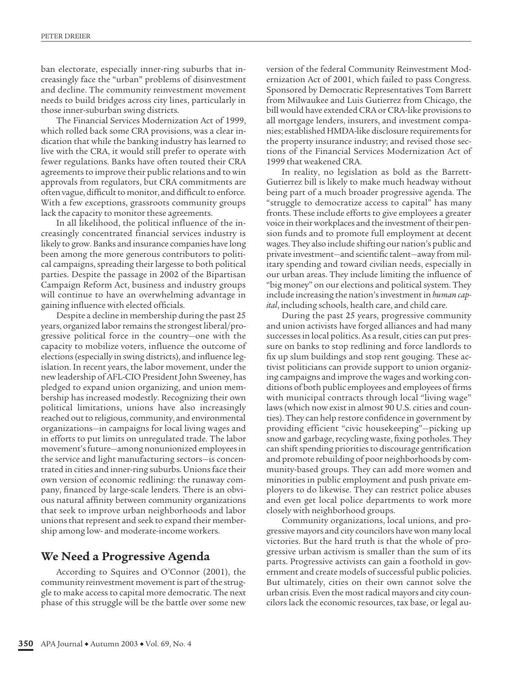ban electorate, especially inner-ring suburbs that increasingly face the "urban" problems of disinvestment and decline. The community reinvestment movement needs to build bridges across city lines, particularly in those inner-suburban swing districts.

The Financial Services Modernization Act of 1999, which rolled back some CRA provisions, was a clear indication that while the banking industry has learned to live with the CRA, it would still prefer to operate with fewer regulations. Banks have often touted their CRA agreements to improve their public relations and to win approvals from regulators, but CRA commitments are often vague, difficult to monitor, and difficult to enforce. With a few exceptions, grassroots community groups lack the capacity to monitor these agreements.

In all likelihood, the political influence of the increasingly concentrated financial services industry is likely to grow. Banks and insurance companies have long been among the more generous contributors to political campaigns, spreading their largesse to both political parties. Despite the passage in 2002 of the Bipartisan Campaign Reform Act, business and industry groups will continue to have an overwhelming advantage in gaining influence with elected officials.

Despite a decline in membership during the past 25 years, organized labor remains the strongest liberal/progressive political force in the country—one with the capacity to mobilize voters, influence the outcome of elections (especially in swing districts), and influence legislation. In recent years, the labor movement, under the new leadership of AFL-CIO President John Sweeney, has pledged to expand union organizing, and union membership has increased modestly. Recognizing their own political limitations, unions have also increasingly reached out to religious, community, and environmental organizations—in campaigns for local living wages and in efforts to put limits on unregulated trade. The labor movement's future—among nonunionized employees in the service and light manufacturing sectors—is concentrated in cities and inner-ring suburbs. Unions face their own version of economic redlining: the runaway company, financed by large-scale lenders. There is an obvious natural affinity between community organizations that seek to improve urban neighborhoods and labor unions that represent and seek to expand their membership among low- and moderate-income workers.

# **We Need a Progressive Agenda**

According to Squires and O'Connor (2001), the community reinvestment movement is part of the struggle to make access to capital more democratic. The next phase of this struggle will be the battle over some new

version of the federal Community Reinvestment Modernization Act of 2001, which failed to pass Congress. Sponsored by Democratic Representatives Tom Barrett from Milwaukee and Luis Gutierrez from Chicago, the bill would have extended CRA or CRA-like provisions to all mortgage lenders, insurers, and investment companies; established HMDA-like disclosure requirements for the property insurance industry; and revised those sections of the Financial Services Modernization Act of 1999 that weakened CRA.

In reality, no legislation as bold as the Barrett-Gutierrez bill is likely to make much headway without being part of a much broader progressive agenda. The "struggle to democratize access to capital" has many fronts. These include efforts to give employees a greater voice in their workplaces and the investment of their pension funds and to promote full employment at decent wages. They also include shifting our nation's public and private investment—and scientific talent—away from military spending and toward civilian needs, especially in our urban areas. They include limiting the influence of "big money" on our elections and political system. They include increasing the nation's investment in *human capital*, including schools, health care, and child care.

During the past 25 years, progressive community and union activists have forged alliances and had many successes in local politics. As a result, cities can put pressure on banks to stop redlining and force landlords to fix up slum buildings and stop rent gouging. These activist politicians can provide support to union organizing campaigns and improve the wages and working conditions of both public employees and employees of firms with municipal contracts through local "living wage" laws (which now exist in almost 90 U.S. cities and counties). They can help restore confidence in government by providing efficient "civic housekeeping"—picking up snow and garbage, recycling waste, fixing potholes. They can shift spending priorities to discourage gentrification and promote rebuilding of poor neighborhoods by community-based groups. They can add more women and minorities in public employment and push private employers to do likewise. They can restrict police abuses and even get local police departments to work more closely with neighborhood groups.

Community organizations, local unions, and progressive mayors and city councilors have won many local victories. But the hard truth is that the whole of progressive urban activism is smaller than the sum of its parts. Progressive activists can gain a foothold in government and create models of successful public policies. But ultimately, cities on their own cannot solve the urban crisis. Even the most radical mayors and city councilors lack the economic resources, tax base, or legal au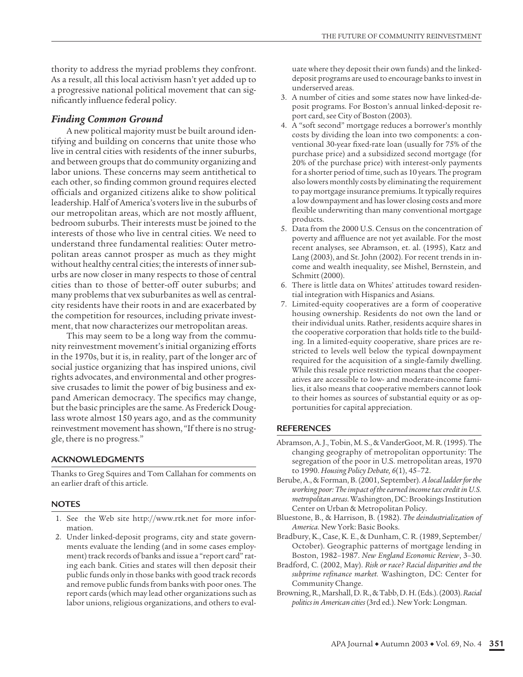thority to address the myriad problems they confront. As a result, all this local activism hasn't yet added up to a progressive national political movement that can significantly influence federal policy.

#### *Finding Common Ground*

A new political majority must be built around identifying and building on concerns that unite those who live in central cities with residents of the inner suburbs, and between groups that do community organizing and labor unions. These concerns may seem antithetical to each other, so finding common ground requires elected officials and organized citizens alike to show political leadership. Half of America's voters live in the suburbs of our metropolitan areas, which are not mostly affluent, bedroom suburbs. Their interests must be joined to the interests of those who live in central cities. We need to understand three fundamental realities: Outer metropolitan areas cannot prosper as much as they might without healthy central cities; the interests of inner suburbs are now closer in many respects to those of central cities than to those of better-off outer suburbs; and many problems that vex suburbanites as well as centralcity residents have their roots in and are exacerbated by the competition for resources, including private investment, that now characterizes our metropolitan areas.

This may seem to be a long way from the community reinvestment movement's initial organizing efforts in the 1970s, but it is, in reality, part of the longer arc of social justice organizing that has inspired unions, civil rights advocates, and environmental and other progressive crusades to limit the power of big business and expand American democracy. The specifics may change, but the basic principles are the same. As Frederick Douglass wrote almost 150 years ago, and as the community reinvestment movement has shown, "If there is no struggle, there is no progress."

#### **ACKNOWLEDGMENTS**

Thanks to Greg Squires and Tom Callahan for comments on an earlier draft of this article.

#### **NOTES**

- 1. See the Web site http://www.rtk.net for more information.
- 2. Under linked-deposit programs, city and state governments evaluate the lending (and in some cases employment) track records of banks and issue a "report card" rating each bank. Cities and states will then deposit their public funds only in those banks with good track records and remove public funds from banks with poor ones. The report cards (which may lead other organizations such as labor unions, religious organizations, and others to eval-

uate where they deposit their own funds) and the linkeddeposit programs are used to encourage banks to invest in underserved areas.

- 3. A number of cities and some states now have linked-deposit programs. For Boston's annual linked-deposit report card, see City of Boston (2003).
- 4. A "soft second" mortgage reduces a borrower's monthly costs by dividing the loan into two components: a conventional 30-year fixed-rate loan (usually for 75% of the purchase price) and a subsidized second mortgage (for 20% of the purchase price) with interest-only payments for a shorter period of time, such as 10 years. The program also lowers monthly costs by eliminating the requirement to pay mortgage insurance premiums. It typically requires a low downpayment and has lower closing costs and more flexible underwriting than many conventional mortgage products.
- 5. Data from the 2000 U.S. Census on the concentration of poverty and affluence are not yet available. For the most recent analyses, see Abramson, et. al. (1995), Katz and Lang (2003), and St. John (2002). For recent trends in income and wealth inequality, see Mishel, Bernstein, and Schmitt (2000).
- 6. There is little data on Whites' attitudes toward residential integration with Hispanics and Asians.
- 7. Limited-equity cooperatives are a form of cooperative housing ownership. Residents do not own the land or their individual units. Rather, residents acquire shares in the cooperative corporation that holds title to the building. In a limited-equity cooperative, share prices are restricted to levels well below the typical downpayment required for the acquisition of a single-family dwelling. While this resale price restriction means that the cooperatives are accessible to low- and moderate-income families, it also means that cooperative members cannot look to their homes as sources of substantial equity or as opportunities for capital appreciation.

#### **REFERENCES**

- Abramson, A. J., Tobin, M. S., & VanderGoot, M. R. (1995). The changing geography of metropolitan opportunity: The segregation of the poor in U.S. metropolitan areas, 1970 to 1990. *Housing Policy Debate, 6*(1), 45–72.
- Berube, A., & Forman, B. (2001, September). *A local ladder for the working poor: The impact of the earned income tax credit in U.S. metropolitan areas*. Washington, DC: Brookings Institution Center on Urban & Metropolitan Policy.
- Bluestone, B., & Harrison, B. (1982). *The deindustrialization of America.* New York: Basic Books.
- Bradbury, K., Case, K. E., & Dunham, C. R. (1989, September/ October). Geographic patterns of mortgage lending in Boston, 1982–1987. *New England Economic Review*, 3–30.
- Bradford, C. (2002, May). *Risk or race? Racial disparities and the subprime refinance market.* Washington, DC: Center for Community Change.
- Browning, R., Marshall, D. R., & Tabb, D. H. (Eds.). (2003). *Racial politics in American cities* (3rd ed.). New York: Longman.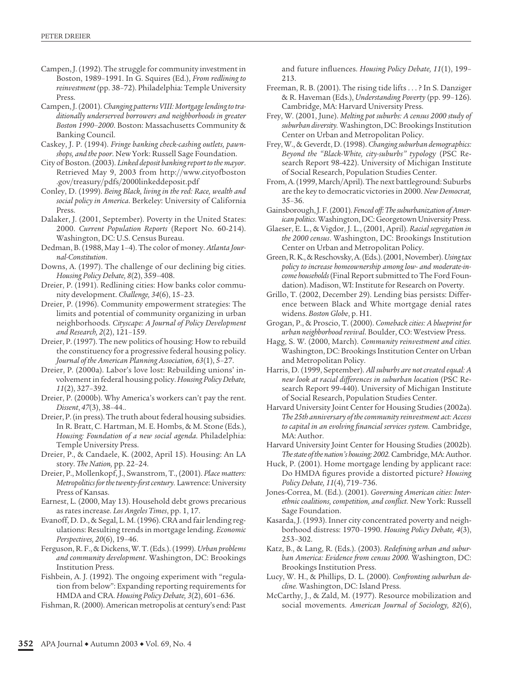- Campen, J. (1992). The struggle for community investment in Boston, 1989–1991. In G. Squires (Ed.), *From redlining to reinvestment* (pp. 38–72). Philadelphia: Temple University Press.
- Campen, J. (2001). *Changing patterns VIII: Mortgage lending to traditionally underserved borrowers and neighborhoods in greater Boston 1990–2000*. Boston: Massachusetts Community & Banking Council.
- Caskey, J. P. (1994). *Fringe banking check-cashing outlets, pawnshops, and the poor*. New York: Russell Sage Foundation.
- City of Boston. (2003). *Linked deposit banking report to the mayor*. Retrieved May 9, 2003 from http://www.cityofboston .gov/treasury/pdfs/2000linkeddeposit.pdf
- Conley, D. (1999). *Being Black, living in the red: Race, wealth and social policy in America*. Berkeley: University of California Press.
- Dalaker, J. (2001, September). Poverty in the United States: 2000. *Current Population Reports* (Report No. 60-214). Washington, DC: U.S. Census Bureau.
- Dedman, B. (1988, May 1–4). The color of money. *Atlanta Journal-Constitution*.
- Downs, A. (1997). The challenge of our declining big cities. *Housing Policy Debate, 8*(2), 359–408.
- Dreier, P. (1991). Redlining cities: How banks color community development. *Challenge, 34*(6), 15–23.
- Dreier, P. (1996). Community empowerment strategies: The limits and potential of community organizing in urban neighborhoods. *Cityscape: A Journal of Policy Development and Research, 2*(2), 121–159.
- Dreier, P. (1997). The new politics of housing: How to rebuild the constituency for a progressive federal housing policy. *Journal of the American Planning Association, 63*(1), 5–27.
- Dreier, P. (2000a). Labor's love lost: Rebuilding unions' involvement in federal housing policy. *Housing Policy Debate, 11*(2), 327–392.
- Dreier, P. (2000b). Why America's workers can't pay the rent. *Dissent*, *47*(3), 38–44..
- Dreier, P. (in press). The truth about federal housing subsidies. In R. Bratt, C. Hartman, M. E. Hombs, & M. Stone (Eds.), *Housing: Foundation of a new social agenda*. Philadelphia: Temple University Press.
- Dreier, P., & Candaele, K. (2002, April 15). Housing: An LA story. *The Nation,* pp. 22–24.
- Dreier, P., Mollenkopf, J., Swanstrom, T., (2001). *Place matters: Metropolitics for the twenty-first century.* Lawrence: University Press of Kansas.
- Earnest, L. (2000, May 13). Household debt grows precarious as rates increase. *Los Angeles Times*, pp. 1, 17.
- Evanoff, D. D., & Segal, L. M. (1996). CRA and fair lending regulations: Resulting trends in mortgage lending. *Economic Perspectives, 20*(6), 19–46.
- Ferguson, R. F., & Dickens, W. T. (Eds.). (1999). *Urban problems and community development*. Washington, DC: Brookings Institution Press.
- Fishbein, A. J. (1992). The ongoing experiment with "regulation from below": Expanding reporting requirements for HMDA and CRA. *Housing Policy Debate, 3*(2), 601–636.

Fishman, R. (2000). American metropolis at century's end: Past

and future influences. *Housing Policy Debate, 11*(1), 199– 213.

- Freeman, R. B. (2001). The rising tide lifts . . . ? In S. Danziger & R. Haveman (Eds.), *Understanding Poverty* (pp. 99–126). Cambridge, MA: Harvard University Press.
- Frey, W. (2001, June). *Melting pot suburbs: A census 2000 study of suburban diversity.* Washington, DC: Brookings Institution Center on Urban and Metropolitan Policy.
- Frey, W., & Geverdt, D. (1998). *Changing suburban demographics: Beyond the "Black-White, city-suburbs" typolo*gy (PSC Research Report 98-422). University of Michigan Institute of Social Research, Population Studies Center.
- From, A. (1999, March/April). The next battleground: Suburbs are the key to democratic victories in 2000. *New Democrat,* 35–36.
- Gainsborough, J. F. (2001). *Fenced off: The suburbanization of American politics*. Washington, DC: Georgetown University Press.
- Glaeser, E. L., & Vigdor, J. L., (2001, April). *Racial segregation in the 2000 census*. Washington, DC: Brookings Institution Center on Urban and Metropolitan Policy.
- Green, R. K., & Reschovsky, A. (Eds.). (2001, November). *Using tax policy to increase homeownership among low- and moderate-income households* (Final Report submitted to The Ford Foundation). Madison, WI: Institute for Research on Poverty.
- Grillo, T. (2002, December 29). Lending bias persists: Difference between Black and White mortgage denial rates widens. *Boston Globe*, p. H1.
- Grogan, P., & Proscio, T. (2000). *Comeback cities: A blueprint for urban neighborhood revival*. Boulder, CO: Westview Press.
- Hagg, S. W. (2000, March). *Community reinvestment and cities.* Washington, DC: Brookings Institution Center on Urban and Metropolitan Policy.
- Harris, D. (1999, September). *All suburbs are not created equal: A new look at racial differences in suburban location* (PSC Research Report 99-440). University of Michigan Institute of Social Research, Population Studies Center.
- Harvard University Joint Center for Housing Studies (2002a). *The 25th anniversary of the community reinvestment act: Access to capital in an evolving financial services system.* Cambridge, MA: Author.
- Harvard University Joint Center for Housing Studies (2002b). *The state of the nation's housing: 2002.*Cambridge, MA: Author.
- Huck, P. (2001). Home mortgage lending by applicant race: Do HMDA figures provide a distorted picture? *Housing Policy Debate, 11*(4), 719–736.
- Jones-Correa, M. (Ed.). (2001). *Governing American cities: Interethnic coalitions, competition, and conflict*. New York: Russell Sage Foundation.
- Kasarda, J. (1993). Inner city concentrated poverty and neighborhood distress: 1970–1990. *Housing Policy Debate, 4*(3), 253–302.
- Katz, B., & Lang, R. (Eds.). (2003). *Redefining urban and suburban America: Evidence from census 2000.* Washington, DC: Brookings Institution Press.
- Lucy, W. H., & Phillips, D. L. (2000). *Confronting suburban decline.* Washington, DC: Island Press.
- McCarthy, J., & Zald, M. (1977). Resource mobilization and social movements. *American Journal of Sociology, 82*(6),